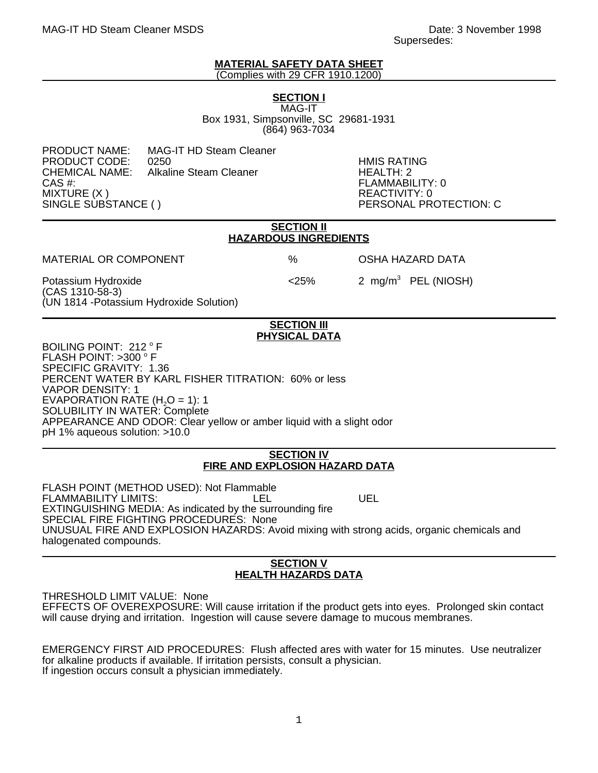#### **MATERIAL SAFETY DATA SHEET** (Complies with 29 CFR 1910.1200)

**SECTION I** MAG-IT

Box 1931, Simpsonville, SC 29681-1931 (864) 963-7034

PRODUCT NAME: MAG-IT HD Steam Cleaner PRODUCT CODE: 0250 HMIS RATING CHEMICAL NAME: Alkaline Steam Cleaner<br>CAS #: CAS #: FLAMMABILITY: 0 MIXTURE (X )<br>SINGLE SUBSTANCE ( ) REACTIVITY: 0

PERSONAL PROTECTION: C

#### **SECTION II HAZARDOUS INGREDIENTS**

MATERIAL OR COMPONENT % OSHA HAZARD DATA

Potassium Hydroxide  $\leq 25\%$  2 mg/m<sup>3</sup> PEL (NIOSH) (CAS 1310-58-3) (UN 1814 -Potassium Hydroxide Solution)

### **SECTION III PHYSICAL DATA**

BOILING POINT: 212 °F FLASH POINT: >300 °F SPECIFIC GRAVITY: 1.36 PERCENT WATER BY KARL FISHER TITRATION: 60% or less VAPOR DENSITY: 1 EVAPORATION RATE  $(H<sub>2</sub>O = 1)$ : 1 SOLUBILITY IN WATER: Complete APPEARANCE AND ODOR: Clear yellow or amber liquid with a slight odor pH 1% aqueous solution: >10.0

### **SECTION IV FIRE AND EXPLOSION HAZARD DATA**

FLASH POINT (METHOD USED): Not Flammable FLAMMABILITY LIMITS: LEL LEL UEL EXTINGUISHING MEDIA: As indicated by the surrounding fire SPECIAL FIRE FIGHTING PROCEDURES: None UNUSUAL FIRE AND EXPLOSION HAZARDS: Avoid mixing with strong acids, organic chemicals and halogenated compounds.

# **SECTION V HEALTH HAZARDS DATA**

THRESHOLD LIMIT VALUE: None EFFECTS OF OVEREXPOSURE: Will cause irritation if the product gets into eyes. Prolonged skin contact will cause drying and irritation. Ingestion will cause severe damage to mucous membranes.

EMERGENCY FIRST AID PROCEDURES: Flush affected ares with water for 15 minutes. Use neutralizer for alkaline products if available. If irritation persists, consult a physician. If ingestion occurs consult a physician immediately.